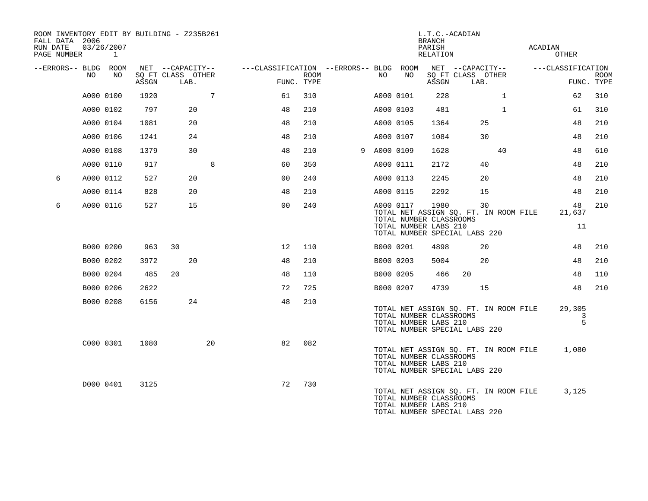| ROOM INVENTORY EDIT BY BUILDING - Z235B261<br>FALL DATA 2006<br>RUN DATE<br>PAGE NUMBER |           | 03/26/2007<br>1 |       |                                               |                 |                                                      |             |             |           | <b>BRANCH</b><br>PARISH<br>RELATION                      | L.T.C.-ACADIAN                                                               |              | ACADIAN | OTHER                           |             |
|-----------------------------------------------------------------------------------------|-----------|-----------------|-------|-----------------------------------------------|-----------------|------------------------------------------------------|-------------|-------------|-----------|----------------------------------------------------------|------------------------------------------------------------------------------|--------------|---------|---------------------------------|-------------|
| --ERRORS-- BLDG ROOM                                                                    | NO        | NO              | ASSGN | NET --CAPACITY--<br>SQ FT CLASS OTHER<br>LAB. |                 | ---CLASSIFICATION --ERRORS-- BLDG ROOM<br>FUNC. TYPE | <b>ROOM</b> | NO          | NO        | ASSGN                                                    | NET --CAPACITY--<br>SQ FT CLASS OTHER<br>LAB.                                |              |         | ---CLASSIFICATION<br>FUNC. TYPE | <b>ROOM</b> |
|                                                                                         | A000 0100 |                 | 1920  |                                               | $7\overline{ }$ | 61                                                   | 310         | A000 0101   |           | 228                                                      |                                                                              | $\mathbf{1}$ |         | 62                              | 310         |
|                                                                                         | A000 0102 |                 | 797   | 20                                            |                 | 48                                                   | 210         |             | A000 0103 | 481                                                      |                                                                              | $\mathbf{1}$ |         | 61                              | 310         |
|                                                                                         | A000 0104 |                 | 1081  | 20                                            |                 | 48                                                   | 210         |             | A000 0105 | 1364                                                     | 25                                                                           |              |         | 48                              | 210         |
|                                                                                         | A000 0106 |                 | 1241  | 24                                            |                 | 48                                                   | 210         | A000 0107   |           | 1084                                                     | 30                                                                           |              |         | 48                              | 210         |
|                                                                                         | A000 0108 |                 | 1379  | 30                                            |                 | 48                                                   | 210         | 9 A000 0109 |           | 1628                                                     |                                                                              | 40           |         | 48                              | 610         |
|                                                                                         | A000 0110 |                 | 917   |                                               | 8               | 60                                                   | 350         |             | A000 0111 | 2172                                                     | 40                                                                           |              |         | 48                              | 210         |
| 6                                                                                       | A000 0112 |                 | 527   | 20                                            |                 | 0 <sub>0</sub>                                       | 240         |             | A000 0113 | 2245                                                     | 20                                                                           |              |         | 48                              | 210         |
|                                                                                         | A000 0114 |                 | 828   | 20                                            |                 | 48                                                   | 210         |             | A000 0115 | 2292                                                     | 15                                                                           |              |         | 48                              | 210         |
| 6                                                                                       | A000 0116 |                 | 527   | 15                                            |                 | 0 <sub>0</sub>                                       | 240         |             | A000 0117 | 1980<br>TOTAL NUMBER CLASSROOMS<br>TOTAL NUMBER LABS 210 | 30<br>TOTAL NET ASSIGN SQ. FT. IN ROOM FILE<br>TOTAL NUMBER SPECIAL LABS 220 |              |         | 48<br>21,637<br>11              | 210         |
|                                                                                         | B000 0200 |                 | 963   | 30                                            |                 | 12                                                   | 110         | B000 0201   |           | 4898                                                     | 20                                                                           |              |         | 48                              | 210         |
|                                                                                         | B000 0202 |                 | 3972  | 20                                            |                 | 48                                                   | 210         |             | B000 0203 | 5004                                                     | 20                                                                           |              |         | 48                              | 210         |
|                                                                                         | B000 0204 |                 | 485   | 20                                            |                 | 48                                                   | 110         |             | B000 0205 | 466                                                      | 20                                                                           |              |         | 48                              | 110         |
|                                                                                         | B000 0206 |                 | 2622  |                                               |                 | 72                                                   | 725         |             | B000 0207 | 4739                                                     | 15                                                                           |              |         | 48                              | 210         |
|                                                                                         | B000 0208 |                 | 6156  | 24                                            |                 | 48                                                   | 210         |             |           | TOTAL NUMBER CLASSROOMS<br>TOTAL NUMBER LABS 210         | TOTAL NET ASSIGN SQ. FT. IN ROOM FILE<br>TOTAL NUMBER SPECIAL LABS 220       |              |         | 29,305<br>3<br>5                |             |
|                                                                                         | C000 0301 |                 | 1080  |                                               | 20              | 82                                                   | 082         |             |           | TOTAL NUMBER CLASSROOMS<br>TOTAL NUMBER LABS 210         | TOTAL NET ASSIGN SQ. FT. IN ROOM FILE<br>TOTAL NUMBER SPECIAL LABS 220       |              |         | 1,080                           |             |
|                                                                                         | D000 0401 |                 | 3125  |                                               |                 | 72                                                   | 730         |             |           | TOTAL NUMBER CLASSROOMS<br>TOTAL NUMBER LABS 210         | TOTAL NET ASSIGN SQ. FT. IN ROOM FILE<br>TOTAL NUMBER SPECIAL LABS 220       |              |         | 3,125                           |             |